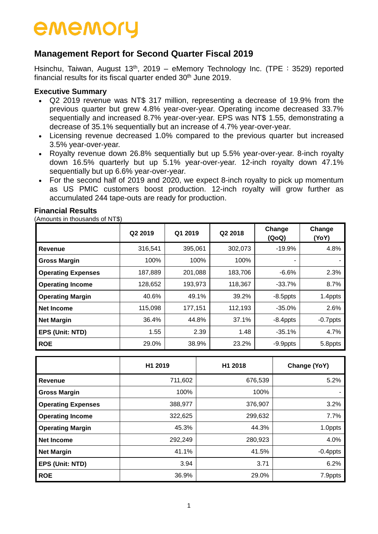## **Management Report for Second Quarter Fiscal 2019**

Hsinchu, Taiwan, August  $13<sup>th</sup>$ , 2019 – eMemory Technology Inc. (TPE: 3529) reported financial results for its fiscal quarter ended 30<sup>th</sup> June 2019.

### **Executive Summary**

- Q2 2019 revenue was NT\$ 317 million, representing a decrease of 19.9% from the previous quarter but grew 4.8% year-over-year. Operating income decreased 33.7% sequentially and increased 8.7% year-over-year. EPS was NT\$ 1.55, demonstrating a decrease of 35.1% sequentially but an increase of 4.7% year-over-year.
- Licensing revenue decreased 1.0% compared to the previous quarter but increased 3.5% year-over-year.
- Royalty revenue down 26.8% sequentially but up 5.5% year-over-year. 8-inch royalty down 16.5% quarterly but up 5.1% year-over-year. 12-inch royalty down 47.1% sequentially but up 6.6% year-over-year.
- For the second half of 2019 and 2020, we expect 8-inch royalty to pick up momentum as US PMIC customers boost production. 12-inch royalty will grow further as accumulated 244 tape-outs are ready for production.

#### **Financial Results**

(Amounts in thousands of NT\$)

|                           | Q2 2019 | Q1 2019 | Q2 2018 | Change<br>(QoQ) | Change<br>(YoY) |
|---------------------------|---------|---------|---------|-----------------|-----------------|
| <b>Revenue</b>            | 316,541 | 395,061 | 302,073 | $-19.9%$        | 4.8%            |
| <b>Gross Margin</b>       | 100%    | 100%    | 100%    |                 |                 |
| <b>Operating Expenses</b> | 187,889 | 201,088 | 183,706 | $-6.6%$         | 2.3%            |
| <b>Operating Income</b>   | 128,652 | 193,973 | 118,367 | $-33.7%$        | 8.7%            |
| <b>Operating Margin</b>   | 40.6%   | 49.1%   | 39.2%   | $-8.5$ ppts     | 1.4ppts         |
| <b>Net Income</b>         | 115,098 | 177,151 | 112,193 | $-35.0%$        | 2.6%            |
| <b>Net Margin</b>         | 36.4%   | 44.8%   | 37.1%   | $-8.4$ ppts     | $-0.7$ ppts     |
| <b>EPS (Unit: NTD)</b>    | 1.55    | 2.39    | 1.48    | $-35.1%$        | 4.7%            |
| <b>ROE</b>                | 29.0%   | 38.9%   | 23.2%   | $-9.9$ ppts     | 5.8ppts         |

|                           | H1 2019 | H1 2018 | Change (YoY) |
|---------------------------|---------|---------|--------------|
| <b>Revenue</b>            | 711,602 | 676,539 | 5.2%         |
| <b>Gross Margin</b>       | 100%    | 100%    |              |
| <b>Operating Expenses</b> | 388,977 | 376,907 | 3.2%         |
| <b>Operating Income</b>   | 322,625 | 299,632 | 7.7%         |
| <b>Operating Margin</b>   | 45.3%   | 44.3%   | 1.0ppts      |
| <b>Net Income</b>         | 292,249 | 280,923 | 4.0%         |
| <b>Net Margin</b>         | 41.1%   | 41.5%   | $-0.4$ ppts  |
| <b>EPS (Unit: NTD)</b>    | 3.94    | 3.71    | 6.2%         |
| <b>ROE</b>                | 36.9%   | 29.0%   | 7.9ppts      |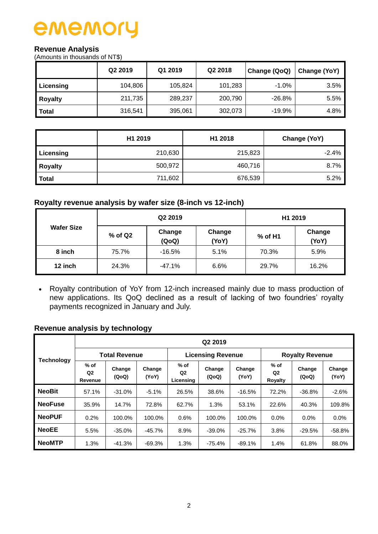### **Revenue Analysis**

(Amounts in thousands of NT\$)

|                | Q <sub>2</sub> 2019 | Q1 2019 | Q <sub>2</sub> 2018 | Change (QoQ) | Change (YoY) |  |
|----------------|---------------------|---------|---------------------|--------------|--------------|--|
| Licensing      | 104,806             | 105,824 | 101,283             | $-1.0%$      | 3.5%         |  |
| <b>Royalty</b> | 211,735             | 289,237 | 200,790             | $-26.8%$     | 5.5%         |  |
| <b>Total</b>   | 316,541             | 395,061 | 302,073             | $-19.9%$     | 4.8%         |  |

|              | H1 2019 | H1 2018 | Change (YoY) |  |  |
|--------------|---------|---------|--------------|--|--|
| Licensing    | 210,630 | 215,823 | $-2.4%$      |  |  |
| Royalty      | 500,972 | 460,716 | 8.7%         |  |  |
| <b>Total</b> | 711,602 | 676,539 | 5.2%         |  |  |

### **Royalty revenue analysis by wafer size (8-inch vs 12-inch)**

| <b>Wafer Size</b> |           | Q2 2019         | H1 2019         |         |                 |
|-------------------|-----------|-----------------|-----------------|---------|-----------------|
|                   | $%$ of Q2 | Change<br>(QoQ) | Change<br>(YoY) | % of H1 | Change<br>(YoY) |
| 8 inch            | 75.7%     | $-16.5%$        | 5.1%            | 70.3%   | 5.9%            |
| 12 inch           | 24.3%     | $-47.1%$        | 6.6%            | 29.7%   | 16.2%           |

 Royalty contribution of YoY from 12-inch increased mainly due to mass production of new applications. Its QoQ declined as a result of lacking of two foundries' royalty payments recognized in January and July.

### **Revenue analysis by technology**

| Technology     |                                     | Q <sub>2</sub> 2019  |                 |                                       |                          |                 |                                     |                 |                 |  |  |  |  |  |  |
|----------------|-------------------------------------|----------------------|-----------------|---------------------------------------|--------------------------|-----------------|-------------------------------------|-----------------|-----------------|--|--|--|--|--|--|
|                |                                     | <b>Total Revenue</b> |                 |                                       | <b>Licensing Revenue</b> |                 | <b>Royalty Revenue</b>              |                 |                 |  |  |  |  |  |  |
|                | $%$ of<br>Q <sub>2</sub><br>Revenue | Change<br>(QoQ)      | Change<br>(YoY) | $%$ of<br>Q <sub>2</sub><br>Licensing | Change<br>(QoQ)          | Change<br>(YoY) | $%$ of<br>Q <sub>2</sub><br>Royalty | Change<br>(QoQ) | Change<br>(YoY) |  |  |  |  |  |  |
| <b>NeoBit</b>  | 57.1%                               | $-31.0%$             | $-5.1%$         | 26.5%                                 | 38.6%                    | $-16.5%$        | 72.2%                               | $-36.8%$        | $-2.6%$         |  |  |  |  |  |  |
| <b>NeoFuse</b> | 35.9%                               | 14.7%                | 72.8%           | 62.7%                                 | 1.3%                     | 53.1%           | 22.6%                               | 40.3%           | 109.8%          |  |  |  |  |  |  |
| <b>NeoPUF</b>  | 0.2%                                | 100.0%               | 100.0%          | 0.6%                                  | 100.0%                   | 100.0%          | 0.0%                                | $0.0\%$         | 0.0%            |  |  |  |  |  |  |
| <b>NeoEE</b>   | 5.5%                                | $-35.0%$             | $-45.7%$        | 8.9%                                  | $-39.0%$                 | $-25.7%$        | 3.8%                                | $-29.5%$        | $-58.8%$        |  |  |  |  |  |  |
| <b>NeoMTP</b>  | 1.3%                                | $-41.3%$             | $-69.3%$        | 1.3%                                  | $-75.4%$                 | $-89.1%$        | 1.4%                                | 61.8%           | 88.0%           |  |  |  |  |  |  |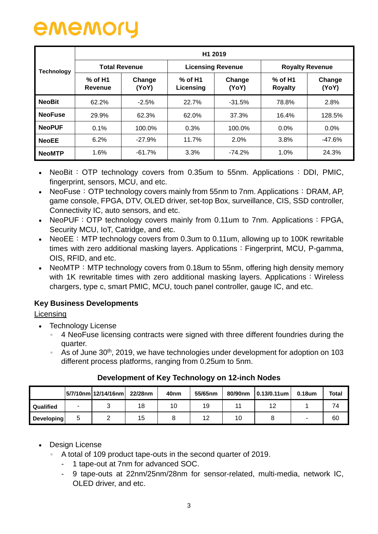|                |                             | H <sub>1</sub> 2019  |                          |                 |                             |                 |  |  |  |  |  |  |  |  |
|----------------|-----------------------------|----------------------|--------------------------|-----------------|-----------------------------|-----------------|--|--|--|--|--|--|--|--|
| Technology     |                             | <b>Total Revenue</b> | <b>Licensing Revenue</b> |                 | <b>Royalty Revenue</b>      |                 |  |  |  |  |  |  |  |  |
|                | $%$ of H1<br><b>Revenue</b> | Change<br>(YoY)      | $%$ of H1<br>Licensing   | Change<br>(YoY) | $%$ of H1<br><b>Royalty</b> | Change<br>(YoY) |  |  |  |  |  |  |  |  |
| <b>NeoBit</b>  | 62.2%                       | $-2.5%$              | 22.7%                    | $-31.5%$        | 78.8%                       | 2.8%            |  |  |  |  |  |  |  |  |
| <b>NeoFuse</b> | 29.9%                       | 62.3%                | 62.0%                    | 37.3%           | 16.4%                       | 128.5%          |  |  |  |  |  |  |  |  |
| <b>NeoPUF</b>  | 0.1%                        | 100.0%               | 0.3%                     | 100.0%          | $0.0\%$                     | 0.0%            |  |  |  |  |  |  |  |  |
| <b>NeoEE</b>   | 6.2%                        | $-27.9%$             | 11.7%                    | 2.0%            | 3.8%                        | $-47.6%$        |  |  |  |  |  |  |  |  |
| <b>NeoMTP</b>  | 1.6%                        | $-61.7%$             | 3.3%                     | $-74.2%$        | 1.0%                        | 24.3%           |  |  |  |  |  |  |  |  |

- NeoBit:  $\overline{OP}$  technology covers from 0.35um to 55nm. Applications: DDI, PMIC, fingerprint, sensors, MCU, and etc.
- NeoFuse: OTP technology covers mainly from 55nm to 7nm. Applications: DRAM, AP, game console, FPGA, DTV, OLED driver, set-top Box, surveillance, CIS, SSD controller, Connectivity IC, auto sensors, and etc.
- NeoPUF: OTP technology covers mainly from 0.11um to 7nm. Applications: FPGA, Security MCU, IoT, Catridge, and etc.
- NeoEE: MTP technology covers from 0.3um to 0.11um, allowing up to 100K rewritable times with zero additional masking layers. Applications: Fingerprint, MCU, P-gamma, OIS, RFID, and etc.
- NeoMTP: MTP technology covers from 0.18um to 55nm, offering high density memory with 1K rewritable times with zero additional masking layers. Applications: Wireless chargers, type c, smart PMIC, MCU, touch panel controller, gauge IC, and etc.

### **Key Business Developments**

**Licensing** 

- Technology License
	- 。 4 NeoFuse licensing contracts were signed with three different foundries during the quarter.
	- <sup>o</sup> As of June 30<sup>th</sup>, 2019, we have technologies under development for adoption on 103 different process platforms, ranging from 0.25um to 5nm.

|                   |   | 5/7/10nm 12/14/16nm | 22/28nm | 40 <sub>nm</sub> | 55/65nm | 80/90nm | $ 0.13/0.11$ um | $0.18$ um | Total |
|-------------------|---|---------------------|---------|------------------|---------|---------|-----------------|-----------|-------|
| Qualified         | - |                     | 18      | 10               | 19      |         | $\sim$          |           | 74    |
| <b>Developing</b> |   |                     | 15      |                  | 12      | 10      |                 |           | 60    |

### **Development of Key Technology on 12-inch Nodes**

### • Design License

- 。 A total of 109 product tape-outs in the second quarter of 2019.
	- 1 tape-out at 7nm for advanced SOC.
	- 9 tape-outs at 22nm/25nm/28nm for sensor-related, multi-media, network IC, OLED driver, and etc.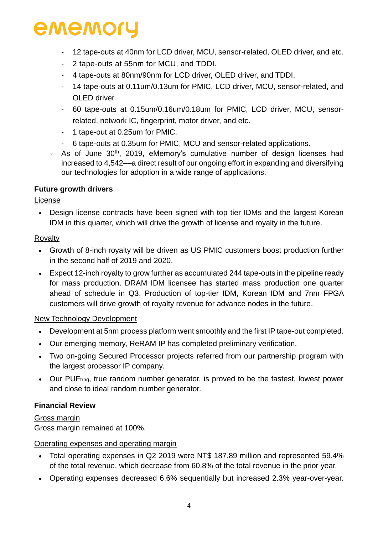- 12 tape-outs at 40nm for LCD driver, MCU, sensor-related, OLED driver, and etc.
- 2 tape-outs at 55nm for MCU, and TDDI.
- 4 tape-outs at 80nm/90nm for LCD driver, OLED driver, and TDDI.
- 14 tape-outs at 0.11um/0.13um for PMIC, LCD driver, MCU, sensor-related, and OLED driver.
- 60 tape-outs at 0.15um/0.16um/0.18um for PMIC, LCD driver, MCU, sensorrelated, network IC, fingerprint, motor driver, and etc.
- 1 tape-out at 0.25um for PMIC.
- 6 tape-outs at 0.35um for PMIC, MCU and sensor-related applications.
- $\cdot$  As of June 30<sup>th</sup>, 2019, eMemory's cumulative number of design licenses had increased to 4,542––a direct result of our ongoing effort in expanding and diversifying our technologies for adoption in a wide range of applications.

### **Future growth drivers**

### License

 Design license contracts have been signed with top tier IDMs and the largest Korean IDM in this quarter, which will drive the growth of license and royalty in the future.

### Royalty

- Growth of 8-inch royalty will be driven as US PMIC customers boost production further in the second half of 2019 and 2020.
- Expect 12-inch royalty to grow further as accumulated 244 tape-outs in the pipeline ready for mass production. DRAM IDM licensee has started mass production one quarter ahead of schedule in Q3. Production of top-tier IDM, Korean IDM and 7nm FPGA customers will drive growth of royalty revenue for advance nodes in the future.

### New Technology Development

- Development at 5nm process platform went smoothly and the first IP tape-out completed.
- Our emerging memory, ReRAM IP has completed preliminary verification.
- Two on-going Secured Processor projects referred from our partnership program with the largest processor IP company.
- Our PUF<sub>trng</sub>, true random number generator, is proved to be the fastest, lowest power and close to ideal random number generator.

### **Financial Review**

### Gross margin

Gross margin remained at 100%.

### Operating expenses and operating margin

- Total operating expenses in Q2 2019 were NT\$ 187.89 million and represented 59.4% of the total revenue, which decrease from 60.8% of the total revenue in the prior year.
- Operating expenses decreased 6.6% sequentially but increased 2.3% year-over-year.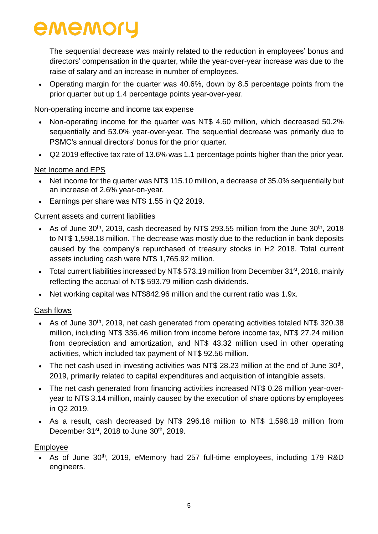The sequential decrease was mainly related to the reduction in employees' bonus and directors' compensation in the quarter, while the year-over-year increase was due to the raise of salary and an increase in number of employees.

• Operating margin for the quarter was 40.6%, down by 8.5 percentage points from the prior quarter but up 1.4 percentage points year-over-year.

### Non-operating income and income tax expense

- Non-operating income for the quarter was NT\$ 4.60 million, which decreased 50.2% sequentially and 53.0% year-over-year. The sequential decrease was primarily due to PSMC's annual directors' bonus for the prior quarter.
- Q2 2019 effective tax rate of 13.6% was 1.1 percentage points higher than the prior year.

### Net Income and EPS

- Net income for the quarter was NT\$ 115.10 million, a decrease of 35.0% sequentially but an increase of 2.6% year-on-year.
- Earnings per share was NT\$ 1.55 in Q2 2019.

### Current assets and current liabilities

- As of June 30<sup>th</sup>, 2019, cash decreased by NT\$ 293.55 million from the June 30<sup>th</sup>, 2018 to NT\$ 1,598.18 million. The decrease was mostly due to the reduction in bank deposits caused by the company's repurchased of treasury stocks in H2 2018. Total current assets including cash were NT\$ 1,765.92 million.
- Total current liabilities increased by NT\$ 573.19 million from December 31<sup>st</sup>, 2018, mainly reflecting the accrual of NT\$ 593.79 million cash dividends.
- Net working capital was NT\$842.96 million and the current ratio was 1.9x.

### Cash flows

- As of June 30th, 2019, net cash generated from operating activities totaled NT\$ 320.38 million, including NT\$ 336.46 million from income before income tax, NT\$ 27.24 million from depreciation and amortization, and NT\$ 43.32 million used in other operating activities, which included tax payment of NT\$ 92.56 million.
- The net cash used in investing activities was NT\$ 28.23 million at the end of June  $30<sup>th</sup>$ , 2019, primarily related to capital expenditures and acquisition of intangible assets.
- The net cash generated from financing activities increased NT\$ 0.26 million year-overyear to NT\$ 3.14 million, mainly caused by the execution of share options by employees in Q2 2019.
- As a result, cash decreased by NT\$ 296.18 million to NT\$ 1,598.18 million from December 31<sup>st</sup>, 2018 to June 30<sup>th</sup>, 2019.

### Employee

• As of June 30<sup>th</sup>, 2019, eMemory had 257 full-time employees, including 179 R&D engineers.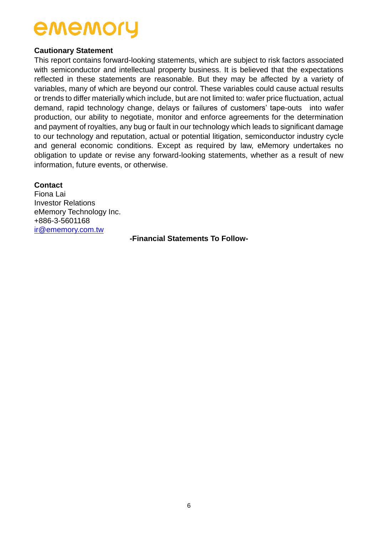#### **Cautionary Statement**

This report contains forward-looking statements, which are subject to risk factors associated with semiconductor and intellectual property business. It is believed that the expectations reflected in these statements are reasonable. But they may be affected by a variety of variables, many of which are beyond our control. These variables could cause actual results or trends to differ materially which include, but are not limited to: wafer price fluctuation, actual demand, rapid technology change, delays or failures of customers' tape-outs into wafer production, our ability to negotiate, monitor and enforce agreements for the determination and payment of royalties, any bug or fault in our technology which leads to significant damage to our technology and reputation, actual or potential litigation, semiconductor industry cycle and general economic conditions. Except as required by law, eMemory undertakes no obligation to update or revise any forward-looking statements, whether as a result of new information, future events, or otherwise.

#### **Contact**

Fiona Lai Investor Relations eMemory Technology Inc. +886-3-5601168 [ir@ememory.com.tw](mailto:ir@ememory.com.tw)

**-Financial Statements To Follow-**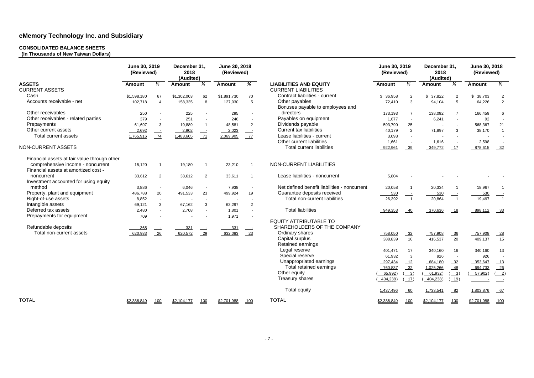#### **CONSOLIDATED BALANCE SHEETS**

**(In Thousands of New Taiwan Dollars)** 

|                                                                           | June 30, 2019<br>(Reviewed) |                          | December 31,<br>2018<br>(Audited) |                          | June 30, 2018<br>(Reviewed) |                          |                                                    | June 30, 2019<br>(Reviewed) |                            | December 31,<br>2018<br>(Audited) |                                                | June 30, 2018<br>(Reviewed) |                                             |
|---------------------------------------------------------------------------|-----------------------------|--------------------------|-----------------------------------|--------------------------|-----------------------------|--------------------------|----------------------------------------------------|-----------------------------|----------------------------|-----------------------------------|------------------------------------------------|-----------------------------|---------------------------------------------|
| <b>ASSETS</b>                                                             | <b>Amount</b>               | %                        | <b>Amount</b>                     | %                        | <b>Amount</b>               | %                        | <b>LIABILITIES AND EQUITY</b>                      | <b>Amount</b>               | %                          | <b>Amount</b>                     | %                                              | <b>Amount</b>               | %                                           |
| <b>CURRENT ASSETS</b>                                                     |                             |                          |                                   |                          |                             |                          | <b>CURRENT LIABILITIES</b>                         |                             |                            |                                   |                                                |                             |                                             |
| Cash                                                                      | \$1,598,180                 | 67                       | \$1,302,003                       | 62                       | \$1,891,730                 | 70                       | Contract liabilities - current                     | \$36,958                    | $\overline{2}$             | \$37,822                          | $\overline{2}$                                 | \$38,703                    | $\overline{c}$                              |
| Accounts receivable - net                                                 | 102,718                     | $\boldsymbol{\Lambda}$   | 158,335                           | 8                        | 127,030                     | 5                        | Other payables<br>Bonuses payable to employees and | 72,410                      | 3                          | 94,104                            | 5                                              | 64,226                      | $\overline{2}$                              |
| Other receivables                                                         | 250                         | $\overline{\phantom{a}}$ | 225                               | $\overline{\phantom{a}}$ | 295                         | $\overline{\phantom{a}}$ | directors                                          | 173,193                     | $\overline{7}$             | 138,092                           | $\overline{7}$                                 | 166,459                     | 6                                           |
| Other receivables - related parties                                       | 379                         | $\sim$                   | 251                               |                          | 246                         |                          | Payables on equipment                              | 1,677                       | $\sim$                     | 6,241                             | $\sim$                                         | 92                          |                                             |
| Prepayments                                                               | 61,697                      | 3                        | 19,889                            | -1                       | 48,581                      | $\overline{2}$           | Dividends payable                                  | 593,790                     | 25                         |                                   |                                                | 568,367                     | 21                                          |
| Other current assets                                                      | 2,692                       |                          | 2,902                             |                          | 2,023                       |                          | <b>Current tax liabilities</b>                     | 40,179                      | $\overline{2}$             | 71,897                            | 3                                              | 38,170                      | $\overline{1}$                              |
| <b>Total current assets</b>                                               | 1,765,916                   | 74                       | 1,483,605                         | 71                       | 2,069,905                   | 77                       | Lease liabilities - current                        | 3,093                       | $\sim$                     |                                   |                                                |                             |                                             |
|                                                                           |                             |                          |                                   |                          |                             |                          | Other current liabilities                          | 1,661                       | $\equiv$                   | 1,616                             |                                                | 2,598                       |                                             |
| NON-CURRENT ASSETS                                                        |                             |                          |                                   |                          |                             |                          | <b>Total current liabilities</b>                   | 922,961                     | $\frac{39}{2}$             | 349,772                           | 17                                             | 878,615                     | $\frac{32}{2}$                              |
| Financial assets at fair value through other                              |                             |                          |                                   |                          |                             |                          |                                                    |                             |                            |                                   |                                                |                             |                                             |
| comprehensive income - noncurrent<br>Financial assets at amortized cost - | 15,120                      | $\overline{1}$           | 19,180                            | -1                       | 23,210                      | $\overline{1}$           | NON-CURRENT LIABILITIES                            |                             |                            |                                   |                                                |                             |                                             |
| noncurrent<br>Investment accounted for using equity                       | 33,612                      | 2                        | 33,612                            | $\overline{2}$           | 33,611                      | - 1                      | Lease liabilities - noncurrent                     | 5,804                       |                            |                                   |                                                |                             |                                             |
| method                                                                    | 3,886                       | $\overline{\phantom{a}}$ | 6,046                             | $\overline{\phantom{a}}$ | 7,938                       |                          | Net defined benefit liabilities - noncurrent       | 20,058                      | $\overline{1}$             | 20,334                            |                                                | 18,967                      |                                             |
| Property, plant and equipment                                             | 486,788                     | 20                       | 491,533                           | 23                       | 499,924                     | 19                       | Guarantee deposits received                        | 530                         |                            | 530                               |                                                | 530                         |                                             |
| Right-of-use assets                                                       | 8,852                       | $\overline{\phantom{a}}$ |                                   | $\overline{\phantom{a}}$ |                             |                          | Total non-current liabilities                      | $-26,392$                   | $\overline{\phantom{0}}$ 1 | $-20,864$                         | $\overline{\phantom{0}}$ 1                     | 19,497                      | $-1$                                        |
| Intangible assets                                                         | 69,121                      | 3                        | 67,162                            | $\mathbf{3}$             | 63,297                      | $\overline{2}$           |                                                    |                             |                            |                                   |                                                |                             |                                             |
| Deferred tax assets                                                       | 2,480                       |                          | 2,708                             | $\blacksquare$           | 1,801                       |                          | <b>Total liabilities</b>                           | 949,353                     | 40                         | 370,636                           | $-18$                                          | 898,112                     | $-33$                                       |
| Prepayments for equipment                                                 | 709                         |                          |                                   |                          | 1,971                       |                          |                                                    |                             |                            |                                   |                                                |                             |                                             |
|                                                                           |                             |                          |                                   |                          |                             |                          | <b>EQUITY ATTRIBUTABLE TO</b>                      |                             |                            |                                   |                                                |                             |                                             |
| Refundable deposits                                                       | 365                         |                          | 331                               |                          | 331                         |                          | SHAREHOLDERS OF THE COMPANY                        |                             |                            |                                   |                                                |                             |                                             |
| Total non-current assets                                                  | 620,933                     | $\frac{26}{ }$           | 620,572                           | 29                       | 632,083                     | $\frac{23}{2}$           | Ordinary shares                                    | 758,050                     | $\frac{32}{2}$             | 757,908                           | $\frac{36}{ }$                                 | 757,908                     | $\frac{28}{1}$                              |
|                                                                           |                             |                          |                                   |                          |                             |                          | Capital surplus<br><b>Retained earnings</b>        | 388,839                     | 16                         | 416,537                           | 20                                             | 409,137                     | $\underline{\phantom{0}15}$                 |
|                                                                           |                             |                          |                                   |                          |                             |                          | Legal reserve                                      | 401,471                     | 17                         | 340,160                           | 16                                             | 340,160                     | 13                                          |
|                                                                           |                             |                          |                                   |                          |                             |                          | Special reserve                                    | 61,932                      | 3                          | 926                               |                                                | 926                         |                                             |
|                                                                           |                             |                          |                                   |                          |                             |                          | Unappropriated earnings                            | 297,434                     | 12                         | 684,180                           | 32                                             | 353,647                     | <u>13</u>                                   |
|                                                                           |                             |                          |                                   |                          |                             |                          | Total retained earnings                            | 760,837                     | 32                         | 1,025,266                         | $-48$                                          | 694,733                     | $-26$                                       |
|                                                                           |                             |                          |                                   |                          |                             |                          | Other equity                                       | 65,992)                     | $\frac{3}{2}$              | 61,932)                           | $\frac{3}{2}$                                  | 57,902)                     | $\left( \underline{\hspace{0.2cm}}2\right)$ |
|                                                                           |                             |                          |                                   |                          |                             |                          | Treasury shares                                    | 404,238)                    | 17)                        | 404,238)                          | $\left( \underline{\hspace{0.1cm}} 19 \right)$ |                             |                                             |
|                                                                           |                             |                          |                                   |                          |                             |                          | <b>Total equity</b>                                | 1,437,496                   | $-60$                      | 1,733,541                         | $-82$                                          | 1,803,876                   | $-67$                                       |
| <b>TOTAL</b>                                                              | \$2,386,849                 | 100                      | \$2,104,177                       | 100                      | \$2,701,988                 | 100                      | <b>TOTAL</b>                                       | \$2,386,849                 | 100                        | \$2,104,177                       | 100                                            | <u>\$2,701,988</u>          | 100                                         |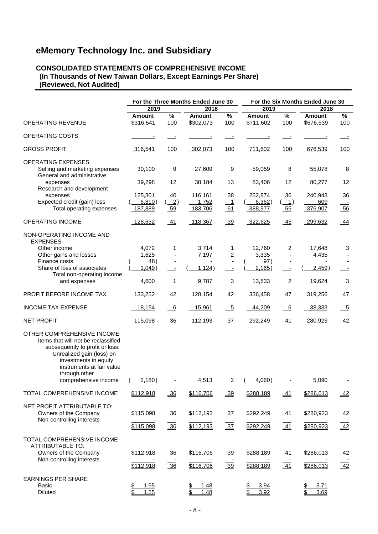#### **CONSOLIDATED STATEMENTS OF COMPREHENSIVE INCOME (In Thousands of New Taiwan Dollars, Except Earnings Per Share) (Reviewed, Not Audited)**

|                                                                                                                                                                                                                                  | For the Three Months Ended June 30 |                            |                             |                          |                              |                                          | For the Six Months Ended June 30 |                          |
|----------------------------------------------------------------------------------------------------------------------------------------------------------------------------------------------------------------------------------|------------------------------------|----------------------------|-----------------------------|--------------------------|------------------------------|------------------------------------------|----------------------------------|--------------------------|
|                                                                                                                                                                                                                                  | 2019                               |                            | 2018                        |                          | 2019                         |                                          | 2018                             |                          |
| <b>OPERATING REVENUE</b>                                                                                                                                                                                                         | <b>Amount</b><br>\$316,541         | $\%$<br>100                | <b>Amount</b><br>\$302,073  | $\%$<br>100              | <b>Amount</b><br>\$711,602   | $\%$<br>100                              | <b>Amount</b><br>\$676,539       | $\%$<br>100              |
| OPERATING COSTS                                                                                                                                                                                                                  |                                    |                            |                             |                          |                              |                                          |                                  |                          |
| <b>GROSS PROFIT</b>                                                                                                                                                                                                              | 316,541                            | 100                        | 302,073                     | 100                      | 711,602                      | <u>100</u>                               | 676,539                          | 100                      |
| <b>OPERATING EXPENSES</b><br>Selling and marketing expenses<br>General and administrative                                                                                                                                        | 30,100                             | 9                          | 27,609                      | 9                        | 59,059                       | 8                                        | 55,078                           | 8                        |
| expenses<br>Research and development                                                                                                                                                                                             | 39,298                             | 12                         | 38,184                      | 13                       | 83,406                       | 12                                       | 80,277                           | 12                       |
| expenses<br>Expected credit (gain) loss<br>Total operating expenses                                                                                                                                                              | 125,301<br>6,810)<br>187,889       | 40<br>$\frac{2}{2}$<br>59  | 116,161<br>1,752<br>183,706 | 38<br>1<br>61            | 252,874<br>6,362)<br>388,977 | 36<br>$(\_\underline{\phantom{A}}$<br>55 | 240,943<br>609<br>376,907        | 36<br>56                 |
| <b>OPERATING INCOME</b>                                                                                                                                                                                                          | 128,652                            | 41                         | 118,367                     | $\frac{39}{5}$           | 322,625                      | 45                                       | 299,632                          | $\frac{44}{4}$           |
| NON-OPERATING INCOME AND<br><b>EXPENSES</b>                                                                                                                                                                                      |                                    |                            |                             |                          |                              |                                          |                                  |                          |
| Other income<br>Other gains and losses<br>Finance costs                                                                                                                                                                          | 4,072<br>1,625<br>48)              | 1                          | 3,714<br>7,197              | 1<br>2                   | 12,760<br>3,335<br>97)       | 2<br>$\overline{\phantom{a}}$            | 17,648<br>4,435                  | 3                        |
| Share of loss of associates                                                                                                                                                                                                      | 1,049                              | $\overline{\phantom{a}}$   | 1,124)                      | $\overline{\phantom{a}}$ | 2,165)                       | $\overline{\phantom{a}}$                 | 2,459)                           |                          |
| Total non-operating income<br>and expenses                                                                                                                                                                                       | 4,600                              | $\overline{\phantom{0}}$ 1 | 9,787                       | $\frac{3}{2}$            | 13,833                       | $\overline{\phantom{0}2}$                | 19,624                           | $\frac{3}{2}$            |
| PROFIT BEFORE INCOME TAX                                                                                                                                                                                                         | 133,252                            | 42                         | 128,154                     | 42                       | 336,458                      | 47                                       | 319,256                          | 47                       |
| <b>INCOME TAX EXPENSE</b>                                                                                                                                                                                                        | 18,154                             | $\overline{6}$             | 15,961                      | $-5$                     | 44,209                       | 6                                        | 38,333                           | $-5$                     |
| <b>NET PROFIT</b>                                                                                                                                                                                                                | 115,098                            | 36                         | 112,193                     | 37                       | 292,249                      | 41                                       | 280,923                          | 42                       |
| OTHER COMPREHENSIVE INCOME<br>Items that will not be reclassified<br>subsequently to profit or loss:<br>Unrealized gain (loss) on<br>investments in equity<br>instruments at fair value<br>through other<br>comprehensive income | 2,180)                             |                            | 4,513                       | $\overline{2}$           | 4,060)                       |                                          | 5,090                            | $\overline{\phantom{a}}$ |
| TOTAL COMPREHENSIVE INCOME                                                                                                                                                                                                       | \$112,918                          | $\frac{36}{5}$             | \$116,706                   | $\frac{39}{2}$           | \$288,189                    | $\underline{41}$                         | \$286,013                        | 42                       |
| NET PROFIT ATTRIBUTABLE TO:<br>Owners of the Company                                                                                                                                                                             | \$115,098                          | 36                         | \$112,193                   | 37                       | \$292,249                    | 41                                       | \$280,923                        | 42                       |
| Non-controlling interests                                                                                                                                                                                                        | \$115,098                          | 36                         | \$112,193                   | $\frac{37}{2}$           | \$292,249                    | 41                                       | \$280,923                        | $\overline{42}$          |
| TOTAL COMPREHENSIVE INCOME<br><b>ATTRIBUTABLE TO:</b><br>Owners of the Company<br>Non-controlling interests                                                                                                                      | \$112,918<br>\$112,918             | 36<br>$\frac{36}{ }$       | \$116,706<br>\$116,706      | 39<br>$\frac{39}{ }$     | \$288,189<br>\$288,189       | 41<br>$\overline{41}$                    | \$286,013<br>\$286,013           | 42<br>$\frac{1}{42}$     |
| <b>EARNINGS PER SHARE</b><br><b>Basic</b><br>Diluted                                                                                                                                                                             | 1.55<br>1.55                       |                            | 1.48<br>1.48                |                          | 3.94<br>3.92                 |                                          | 3.71<br>3.69                     |                          |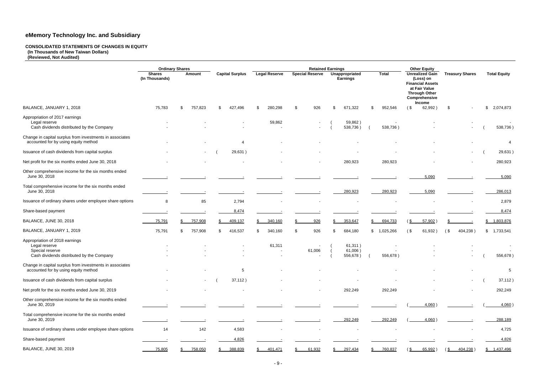#### **CONSOLIDATED STATEMENTS OF CHANGES IN EQUITY (In Thousands of New Taiwan Dollars) (Reviewed, Not Audited)**

|                                                                                                                 |                                 | <b>Ordinary Shares</b> |                        |                      |                        | <b>Retained Earnings</b>          |                 | <b>Other Equity</b>                                                                                                                |                          |                     |
|-----------------------------------------------------------------------------------------------------------------|---------------------------------|------------------------|------------------------|----------------------|------------------------|-----------------------------------|-----------------|------------------------------------------------------------------------------------------------------------------------------------|--------------------------|---------------------|
|                                                                                                                 | <b>Shares</b><br>(In Thousands) | <b>Amount</b>          | <b>Capital Surplus</b> | <b>Legal Reserve</b> | <b>Special Reserve</b> | Unappropriated<br><b>Earnings</b> | <b>Total</b>    | <b>Unrealized Gain</b><br>(Loss) on<br><b>Financial Assets</b><br>at Fair Value<br><b>Through Other</b><br>Comprehensive<br>Income | <b>Treasury Shares</b>   | <b>Total Equity</b> |
| BALANCE, JANUARY 1, 2018                                                                                        | 75,783                          | 757,823<br>S           | 427,496<br>\$.         | 280,298              | 926<br>-\$             | 671,322<br>\$                     | 952,546<br>\$.  | 62,992)<br>(\$                                                                                                                     | \$                       | 2,074,873<br>S      |
| Appropriation of 2017 earnings<br>Legal reserve<br>Cash dividends distributed by the Company                    |                                 |                        |                        | 59,862               |                        | 59,862)<br>538,736)               | 538,736)        |                                                                                                                                    |                          | 538,736)            |
| Change in capital surplus from investments in associates<br>accounted for by using equity method                |                                 |                        | 4                      |                      |                        |                                   |                 |                                                                                                                                    |                          | $\overline{4}$      |
| Issuance of cash dividends from capital surplus                                                                 |                                 | $\sim$                 | 29,631)                |                      |                        |                                   |                 |                                                                                                                                    | $\sim$                   | 29,631)             |
| Net profit for the six months ended June 30, 2018                                                               |                                 |                        |                        |                      |                        | 280,923                           | 280,923         |                                                                                                                                    | $\overline{\phantom{a}}$ | 280,923             |
| Other comprehensive income for the six months ended<br>June 30, 2018                                            |                                 |                        |                        |                      |                        |                                   |                 | 5,090                                                                                                                              |                          | 5,090               |
| Total comprehensive income for the six months ended<br>June 30, 2018                                            |                                 |                        |                        |                      |                        | 280,923                           | 280,923         | 5,090                                                                                                                              |                          | 286,013             |
| Issuance of ordinary shares under employee share options                                                        | 8                               | 85                     | 2,794                  |                      |                        |                                   |                 |                                                                                                                                    |                          | 2,879               |
| Share-based payment                                                                                             |                                 |                        | 8,474                  |                      |                        |                                   |                 |                                                                                                                                    |                          | 8,474               |
| BALANCE, JUNE 30, 2018                                                                                          | 75,791                          | 757,908                | 409,137                | 340,160              | 926                    | 353,647                           | 694,733         | 57,902<br>່ \$                                                                                                                     |                          | 1,803,876<br>S      |
| BALANCE, JANUARY 1, 2019                                                                                        | 75,791                          | 757,908<br>\$          | 416,537<br>\$          | 340,160<br>\$.       | 926<br>-\$             | 684,180<br>\$                     | \$<br>1,025,266 | 61,932)<br>(\$                                                                                                                     | (<br>404,238)            | \$ 1,733,541        |
| Appropriation of 2018 earnings<br>Legal reserve<br>Special reserve<br>Cash dividends distributed by the Company |                                 |                        |                        | 61,311               | 61,006                 | 61,311)<br>61,006<br>556,678)     | 556,678)        |                                                                                                                                    |                          | 556,678)            |
| Change in capital surplus from investments in associates<br>accounted for by using equity method                |                                 |                        | 5                      |                      |                        |                                   |                 |                                                                                                                                    |                          | 5                   |
| Issuance of cash dividends from capital surplus                                                                 |                                 | $\sim 100$             | 37,112)                |                      |                        |                                   |                 |                                                                                                                                    | $\sim$                   | 37,112)             |
| Net profit for the six months ended June 30, 2019                                                               |                                 |                        |                        |                      |                        | 292,249                           | 292,249         |                                                                                                                                    |                          | 292,249             |
| Other comprehensive income for the six months ended<br>June 30, 2019                                            |                                 |                        |                        |                      |                        |                                   |                 | 4,060)                                                                                                                             |                          | $4,060$ )           |
| Total comprehensive income for the six months ended<br>June 30, 2019                                            |                                 |                        |                        |                      |                        | 292,249                           | 292,249         | 4,060)                                                                                                                             |                          | 288,189             |
| Issuance of ordinary shares under employee share options                                                        | 14                              | 142                    | 4,583                  |                      |                        |                                   |                 |                                                                                                                                    |                          | 4,725               |
| Share-based payment                                                                                             |                                 |                        | 4,826                  |                      |                        |                                   |                 |                                                                                                                                    |                          | 4,826               |
| <b>BALANCE, JUNE 30, 2019</b>                                                                                   | 75,805                          | 758,050                | 388,839                | 401,471              | 61,932                 | 297,434<br>\$                     | 760,837<br>\$   | $65,992$ )<br><u>s</u>                                                                                                             | 404,238)<br>(S           | \$ 1,437,496        |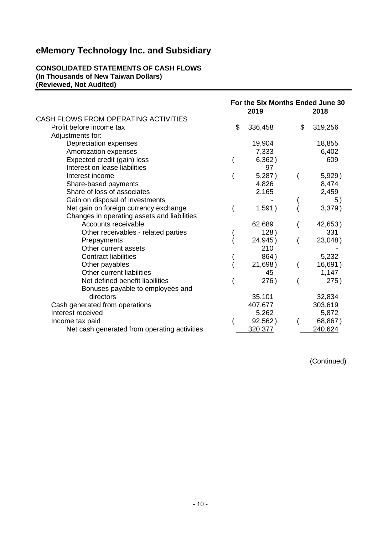#### **CONSOLIDATED STATEMENTS OF CASH FLOWS (In Thousands of New Taiwan Dollars) (Reviewed, Not Audited)**

|                                              | For the Six Months Ended June 30 |         |    |         |  |
|----------------------------------------------|----------------------------------|---------|----|---------|--|
|                                              |                                  | 2019    |    | 2018    |  |
| CASH FLOWS FROM OPERATING ACTIVITIES         |                                  |         |    |         |  |
| Profit before income tax                     | \$                               | 336,458 | \$ | 319,256 |  |
| Adjustments for:                             |                                  |         |    |         |  |
| Depreciation expenses                        |                                  | 19,904  |    | 18,855  |  |
| Amortization expenses                        |                                  | 7,333   |    | 6,402   |  |
| Expected credit (gain) loss                  |                                  | 6,362)  |    | 609     |  |
| Interest on lease liabilities                |                                  | 97      |    |         |  |
| Interest income                              |                                  | 5,287)  |    | 5,929)  |  |
| Share-based payments                         |                                  | 4,826   |    | 8,474   |  |
| Share of loss of associates                  |                                  | 2,165   |    | 2,459   |  |
| Gain on disposal of investments              |                                  |         |    | 5)      |  |
| Net gain on foreign currency exchange        |                                  | 1,591)  |    | 3,379)  |  |
| Changes in operating assets and liabilities  |                                  |         |    |         |  |
| Accounts receivable                          |                                  | 62,689  |    | 42,653) |  |
| Other receivables - related parties          |                                  | 128)    |    | 331     |  |
| Prepayments                                  |                                  | 24,945) |    | 23,048) |  |
| Other current assets                         |                                  | 210     |    |         |  |
| <b>Contract liabilities</b>                  |                                  | 864)    |    | 5,232   |  |
| Other payables                               |                                  | 21,698) |    | 16,691) |  |
| Other current liabilities                    |                                  | 45      |    | 1,147   |  |
| Net defined benefit liabilities              |                                  | 276)    |    | 275)    |  |
| Bonuses payable to employees and             |                                  |         |    |         |  |
| directors                                    |                                  | 35,101  |    | 32,834  |  |
| Cash generated from operations               |                                  | 407,677 |    | 303,619 |  |
| Interest received                            |                                  | 5,262   |    | 5,872   |  |
| Income tax paid                              |                                  | 92,562) |    | 68,867) |  |
| Net cash generated from operating activities |                                  | 320,377 |    | 240,624 |  |

(Continued)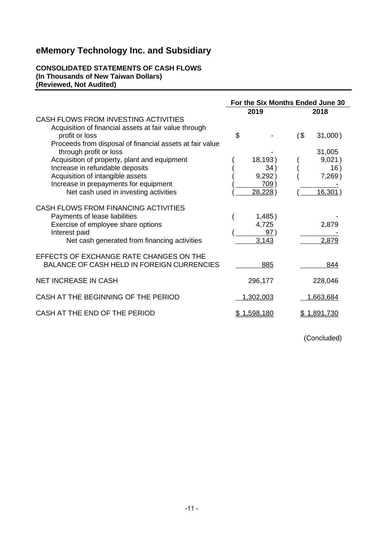#### **CONSOLIDATED STATEMENTS OF CASH FLOWS (In Thousands of New Taiwan Dollars) (Reviewed, Not Audited)**

|                                                                                                                 | For the Six Months Ended June 30 |                 |      |                    |
|-----------------------------------------------------------------------------------------------------------------|----------------------------------|-----------------|------|--------------------|
|                                                                                                                 | 2019                             |                 | 2018 |                    |
| CASH FLOWS FROM INVESTING ACTIVITIES<br>Acquisition of financial assets at fair value through<br>profit or loss | \$                               |                 | (\$  | $31,000$ )         |
| Proceeds from disposal of financial assets at fair value<br>through profit or loss                              |                                  |                 |      | 31,005             |
| Acquisition of property, plant and equipment                                                                    |                                  | 18,193)         |      | 9,021)             |
| Increase in refundable deposits                                                                                 |                                  | 34)             |      | 16)                |
| Acquisition of intangible assets<br>Increase in prepayments for equipment                                       |                                  | 9,292)<br>709)  |      | $7,269$ )          |
| Net cash used in investing activities                                                                           |                                  | 28,228)         |      | 16,301             |
| CASH FLOWS FROM FINANCING ACTIVITIES                                                                            |                                  |                 |      |                    |
| Payments of lease liabilities<br>Exercise of employee share options                                             |                                  | 1,485)<br>4,725 |      | 2,879              |
| Interest paid                                                                                                   |                                  | 97)             |      |                    |
| Net cash generated from financing activities                                                                    |                                  | 3,143           |      | 2,879              |
| EFFECTS OF EXCHANGE RATE CHANGES ON THE<br><b>BALANCE OF CASH HELD IN FOREIGN CURRENCIES</b>                    |                                  | 885             |      | 844                |
|                                                                                                                 |                                  |                 |      |                    |
| <b>NET INCREASE IN CASH</b>                                                                                     |                                  | 296,177         |      | 228,046            |
| CASH AT THE BEGINNING OF THE PERIOD                                                                             |                                  | 1,302,003       |      | 1,663,684          |
| CASH AT THE END OF THE PERIOD                                                                                   |                                  | \$1,598,180     |      | <u>\$1,891,730</u> |

(Concluded)